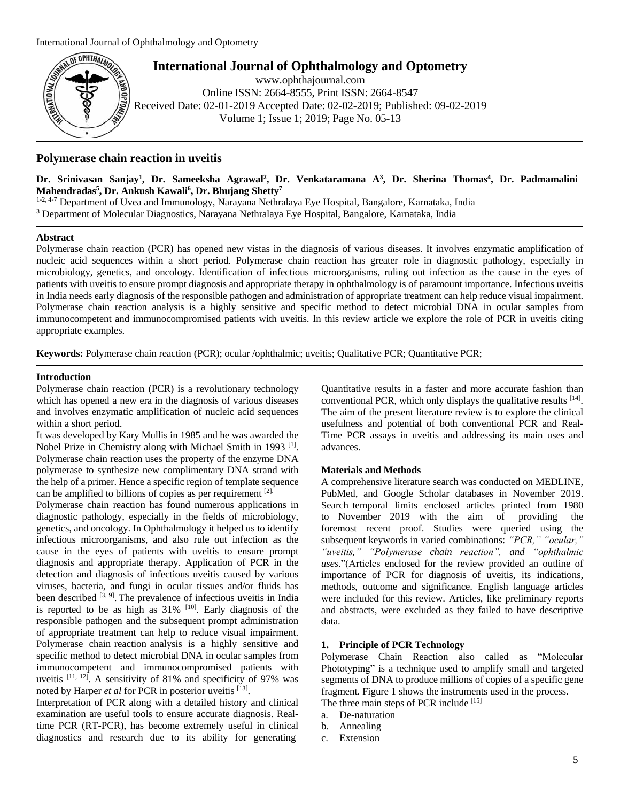

**International Journal of Ophthalmology and Optometry** [www.ophthajournal.com](http://www.ophthajournal.com/)

Online ISSN: 2664-8555, Print ISSN: 2664-8547 Received Date: 02-01-2019 Accepted Date: 02-02-2019; Published: 09-02-2019 Volume 1; Issue 1; 2019; Page No. 05-13

# **Polymerase chain reaction in uveitis**

Dr. Srinivasan Sanjay<sup>1</sup>, Dr. Sameeksha Agrawal<sup>2</sup>, Dr. Venkataramana A<sup>3</sup>, Dr. Sherina Thomas<sup>4</sup>, Dr. Padmamalini **Mahendradas<sup>5</sup> , Dr. Ankush Kawali<sup>6</sup> , Dr. Bhujang Shetty<sup>7</sup>**

1-2, 4-7 Department of Uvea and Immunology, Narayana Nethralaya Eye Hospital, Bangalore, Karnataka, India <sup>3</sup> Department of Molecular Diagnostics, Narayana Nethralaya Eye Hospital, Bangalore, Karnataka, India

### **Abstract**

Polymerase chain reaction (PCR) has opened new vistas in the diagnosis of various diseases. It involves enzymatic amplification of nucleic acid sequences within a short period. Polymerase chain reaction has greater role in diagnostic pathology, especially in microbiology, genetics, and oncology. Identification of infectious microorganisms, ruling out infection as the cause in the eyes of patients with uveitis to ensure prompt diagnosis and appropriate therapy in ophthalmology is of paramount importance. Infectious uveitis in India needs early diagnosis of the responsible pathogen and administration of appropriate treatment can help reduce visual impairment. Polymerase chain reaction analysis is a highly sensitive and specific method to detect microbial DNA in ocular samples from immunocompetent and immunocompromised patients with uveitis. In this review article we explore the role of PCR in uveitis citing appropriate examples.

**Keywords:** Polymerase chain reaction (PCR); ocular /ophthalmic; uveitis; Qualitative PCR; Quantitative PCR;

### **Introduction**

Polymerase chain reaction (PCR) is a revolutionary technology which has opened a new era in the diagnosis of various diseases and involves enzymatic amplification of nucleic acid sequences within a short period.

It was developed by Kary Mullis in 1985 and he was awarded the Nobel Prize in Chemistry along with Michael Smith in 1993<sup>[1]</sup>. Polymerase chain reaction uses the property of the enzyme DNA polymerase to synthesize new complimentary DNA strand with the help of a primer. Hence a specific region of template sequence can be amplified to billions of copies as per requirement [2].

Polymerase chain reaction has found numerous applications in diagnostic pathology, especially in the fields of microbiology, genetics, and oncology. In Ophthalmology it helped us to identify infectious microorganisms, and also rule out infection as the cause in the eyes of patients with uveitis to ensure prompt diagnosis and appropriate therapy. Application of PCR in the detection and diagnosis of infectious uveitis caused by various viruses, bacteria, and fungi in ocular tissues and/or fluids has been described  $[3, 9]$ . The prevalence of infectious uveitis in India is reported to be as high as  $31\%$  [10]. Early diagnosis of the responsible pathogen and the subsequent prompt administration of appropriate treatment can help to reduce visual impairment. Polymerase chain reaction analysis is a highly sensitive and specific method to detect microbial DNA in ocular samples from immunocompetent and immunocompromised patients with uveitis  $[11, 12]$ . A sensitivity of 81% and specificity of 97% was noted by Harper *et al* for PCR in posterior uveitis [13].

Interpretation of PCR along with a detailed history and clinical examination are useful tools to ensure accurate diagnosis. Realtime PCR (RT-PCR), has become extremely useful in clinical diagnostics and research due to its ability for generating

Quantitative results in a faster and more accurate fashion than conventional PCR, which only displays the qualitative results [14]. The aim of the present literature review is to explore the clinical usefulness and potential of both conventional PCR and Real-Time PCR assays in uveitis and addressing its main uses and advances.

### **Materials and Methods**

A comprehensive literature search was conducted on MEDLINE, PubMed, and Google Scholar databases in November 2019. Search temporal limits enclosed articles printed from 1980 to November 2019 with the aim of providing the foremost recent proof. Studies were queried using the subsequent keywords in varied combinations: *"PCR," "ocular," "uveitis," "Polymerase chain reaction", and "ophthalmic uses*."(Articles enclosed for the review provided an outline of importance of PCR for diagnosis of uveitis, its indications, methods, outcome and significance. English language articles were included for this review. Articles, like preliminary reports and abstracts, were excluded as they failed to have descriptive data.

### **1. Principle of PCR Technology**

Polymerase Chain Reaction also called as "Molecular Phototyping" is a technique used to amplify small and targeted segments of DNA to produce millions of copies of a specific gene fragment. Figure 1 shows the instruments used in the process.

- The three main steps of PCR include [15]
- a. De-naturation
- b. Annealing
- c. Extension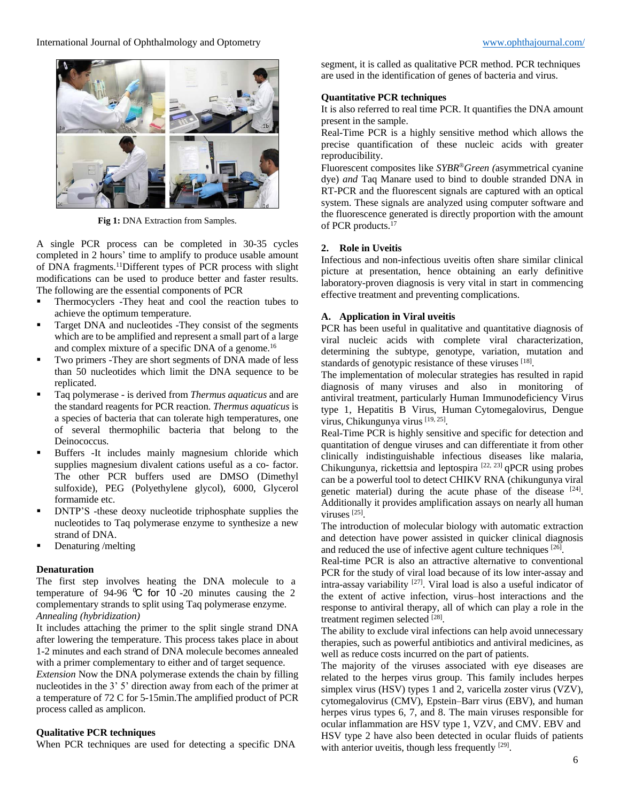

**Fig 1:** DNA Extraction from Samples.

A single PCR process can be completed in 30-35 cycles completed in 2 hours' time to amplify to produce usable amount of DNA fragments.<sup>11</sup>Different types of PCR process with slight modifications can be used to produce better and faster results. The following are the essential components of PCR

- Thermocyclers -They heat and cool the reaction tubes to achieve the optimum temperature.
- Target DNA and nucleotides -They consist of the segments which are to be amplified and represent a small part of a large and complex mixture of a specific DNA of a genome.<sup>16</sup>
- Two primers -They are short segments of DNA made of less than 50 nucleotides which limit the DNA sequence to be replicated.
- Taq polymerase is derived from *Thermus aquaticus* and are the standard reagents for PCR reaction. *Thermus aquaticus* is a species of bacteria that can tolerate high temperatures, one of several thermophilic bacteria that belong to the Deinococcus.
- Buffers -It includes mainly magnesium chloride which supplies magnesium divalent cations useful as a co- factor. The other PCR buffers used are DMSO (Dimethyl sulfoxide), PEG (Polyethylene glycol), 6000, Glycerol formamide etc.
- DNTP'S -these deoxy nucleotide triphosphate supplies the nucleotides to Taq polymerase enzyme to synthesize a new strand of DNA.
- Denaturing /melting

### **Denaturation**

The first step involves heating the DNA molecule to a temperature of 94-96  $\degree$ C for 10 -20 minutes causing the 2 complementary strands to split using Taq polymerase enzyme. *Annealing (hybridization)*

It includes attaching the primer to the split single strand DNA after lowering the temperature. This process takes place in about 1-2 minutes and each strand of DNA molecule becomes annealed with a primer complementary to either and of target sequence.

*Extension* Now the DNA polymerase extends the chain by filling nucleotides in the 3' 5' direction away from each of the primer at a temperature of 72 C for 5-15min.The amplified product of PCR process called as amplicon.

### **Qualitative PCR techniques**

When PCR techniques are used for detecting a specific DNA

segment, it is called as qualitative PCR method. PCR techniques are used in the identification of genes of bacteria and virus.

# **Quantitative PCR techniques**

It is also referred to real time PCR. It quantifies the DNA amount present in the sample.

Real-Time PCR is a highly sensitive method which allows the precise quantification of these nucleic acids with greater reproducibility.

Fluorescent composites like *SYBR*®*Green (*asymmetrical cyanine dye) *and* Taq Manare used to bind to double stranded DNA in RT-PCR and the fluorescent signals are captured with an optical system. These signals are analyzed using computer software and the fluorescence generated is directly proportion with the amount of PCR products.<sup>17</sup>

### **2. Role in Uveitis**

Infectious and non-infectious uveitis often share similar clinical picture at presentation, hence obtaining an early definitive laboratory-proven diagnosis is very vital in start in commencing effective treatment and preventing complications.

# **A. Application in Viral uveitis**

PCR has been useful in qualitative and quantitative diagnosis of viral nucleic acids with complete viral characterization, determining the subtype, genotype, variation, mutation and standards of genotypic resistance of these viruses [18].

The implementation of molecular strategies has resulted in rapid diagnosis of many viruses and also in monitoring of antiviral treatment, particularly Human Immunodeficiency Virus type 1, Hepatitis B Virus, Human Cytomegalovirus, Dengue virus, Chikungunya virus [19, 25].

Real-Time PCR is highly sensitive and specific for detection and quantitation of dengue viruses and can differentiate it from other clinically indistinguishable infectious diseases like malaria, Chikungunya, rickettsia and leptospira [22, 23] qPCR using probes can be a powerful tool to detect CHIKV RNA (chikungunya viral genetic material) during the acute phase of the disease  $[24]$ . Additionally it provides amplification assays on nearly all human viruses<sup>[25]</sup>.

The introduction of molecular biology with automatic extraction and detection have power assisted in quicker clinical diagnosis and reduced the use of infective agent culture techniques [26].

Real-time PCR is also an attractive alternative to conventional PCR for the study of viral load because of its low inter-assay and intra-assay variability [27] . Viral load is also a useful indicator of the extent of active infection, virus–host interactions and the response to antiviral therapy, all of which can play a role in the treatment regimen selected [28].

The ability to exclude viral infections can help avoid unnecessary therapies, such as powerful antibiotics and antiviral medicines, as well as reduce costs incurred on the part of patients.

The majority of the viruses associated with eye diseases are related to the herpes virus group. This family includes herpes simplex virus (HSV) types 1 and 2, varicella zoster virus (VZV), cytomegalovirus (CMV), Epstein–Barr virus (EBV), and human herpes virus types 6, 7, and 8. The main viruses responsible for ocular inflammation are HSV type 1, VZV, and CMV. EBV and HSV type 2 have also been detected in ocular fluids of patients with anterior uveitis, though less frequently [29].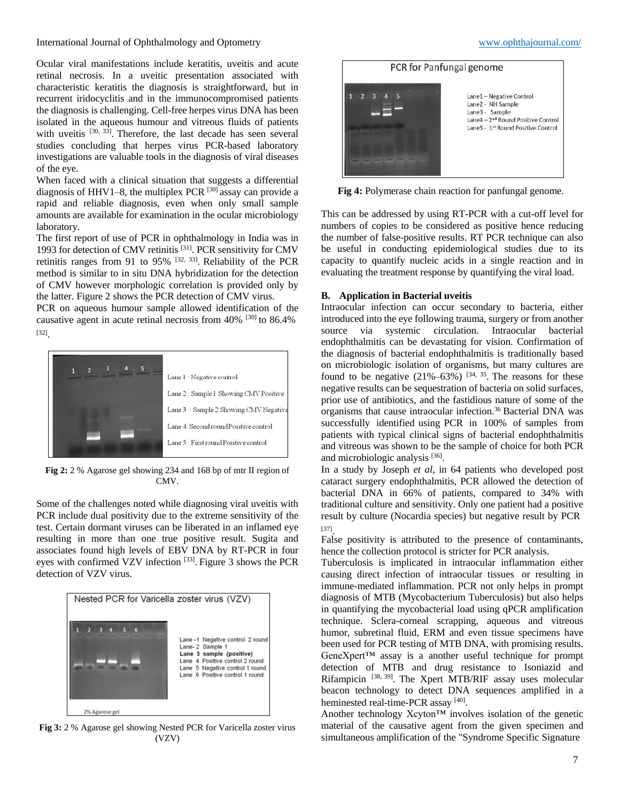International Journal of Ophthalmology and Optometry [www.ophthajournal.com/](http://www.ophthajournal.com/)

Ocular viral manifestations include keratitis, uveitis and acute retinal necrosis. In a uveitic presentation associated with characteristic keratitis the diagnosis is straightforward, but in recurrent iridocyclitis and in the immunocompromised patients the diagnosis is challenging. Cell-free herpes virus DNA has been isolated in the aqueous humour and vitreous fluids of patients with uveitis [30, 33]. Therefore, the last decade has seen several studies concluding that herpes virus PCR-based laboratory investigations are valuable tools in the diagnosis of viral diseases of the eye.

When faced with a clinical situation that suggests a differential diagnosis of HHV1–8, the multiplex PCR  $^{[30]}$  assay can provide a rapid and reliable diagnosis, even when only small sample amounts are available for examination in the ocular microbiology laboratory.

The first report of use of PCR in ophthalmology in India was in 1993 for detection of CMV retinitis [31]. PCR sensitivity for CMV retinitis ranges from 91 to 95%  $[32, 33]$ . Reliability of the PCR method is similar to in situ DNA hybridization for the detection of CMV however morphologic correlation is provided only by the latter. Figure 2 shows the PCR detection of CMV virus.

PCR on aqueous humour sample allowed identification of the causative agent in acute retinal necrosis from 40% [30] to 86.4% [32] .



**Fig 2:** 2 % Agarose gel showing 234 and 168 bp of mtr II region of CMV.

Some of the challenges noted while diagnosing viral uveitis with PCR include dual positivity due to the extreme sensitivity of the test. Certain dormant viruses can be liberated in an inflamed eye resulting in more than one true positive result. Sugita and associates found high levels of EBV DNA by RT-PCR in four eyes with confirmed VZV infection<sup>[33]</sup>. Figure 3 shows the PCR detection of VZV virus.



**Fig 3:** 2 % Agarose gel showing Nested PCR for Varicella zoster virus  $(VZV)$ 



**Fig 4:** Polymerase chain reaction for panfungal genome.

This can be addressed by using RT-PCR with a cut-off level for numbers of copies to be considered as positive hence reducing the number of false-positive results. RT PCR technique can also be useful in conducting epidemiological studies due to its capacity to quantify nucleic acids in a single reaction and in evaluating the treatment response by quantifying the viral load.

#### **B. Application in Bacterial uveitis**

Intraocular infection can occur secondary to bacteria, either introduced into the eye following trauma, surgery or from another source via systemic circulation. Intraocular bacterial endophthalmitis can be devastating for vision. Confirmation of the diagnosis of bacterial endophthalmitis is traditionally based on microbiologic isolation of organisms, but many cultures are found to be negative  $(21\% - 63\%)$  [34, 35]. The reasons for these negative results can be sequestration of bacteria on solid surfaces, prior use of antibiotics, and the fastidious nature of some of the organisms that cause intraocular infection.<sup>36</sup> Bacterial DNA was successfully identified using PCR in 100% of samples from patients with typical clinical signs of bacterial endophthalmitis and vitreous was shown to be the sample of choice for both PCR and microbiologic analysis [36].

In a study by Joseph *et al*, in 64 patients who developed post cataract surgery endophthalmitis, PCR allowed the detection of bacterial DNA in 66% of patients, compared to 34% with traditional culture and sensitivity. Only one patient had a positive result by culture (Nocardia species) but negative result by PCR [37] .

False positivity is attributed to the presence of contaminants, hence the collection protocol is stricter for PCR analysis.

Tuberculosis is implicated in intraocular inflammation either causing direct infection of intraocular tissues or resulting in immune-mediated inflammation. PCR not only helps in prompt diagnosis of MTB (Mycobacterium Tuberculosis) but also helps in quantifying the mycobacterial load using qPCR amplification technique. Sclera-corneal scrapping, aqueous and vitreous humor, subretinal fluid, ERM and even tissue specimens have been used for PCR testing of MTB DNA, with promising results. GeneXpert™ assay is a another useful technique for prompt detection of MTB and drug resistance to Isoniazid and Rifampicin [38, 39]. The Xpert MTB/RIF assay uses molecular beacon technology to detect DNA sequences amplified in a heminested real-time-PCR assay [40].

Another technology Xcyton™ involves isolation of the genetic material of the causative agent from the given specimen and simultaneous amplification of the "Syndrome Specific Signature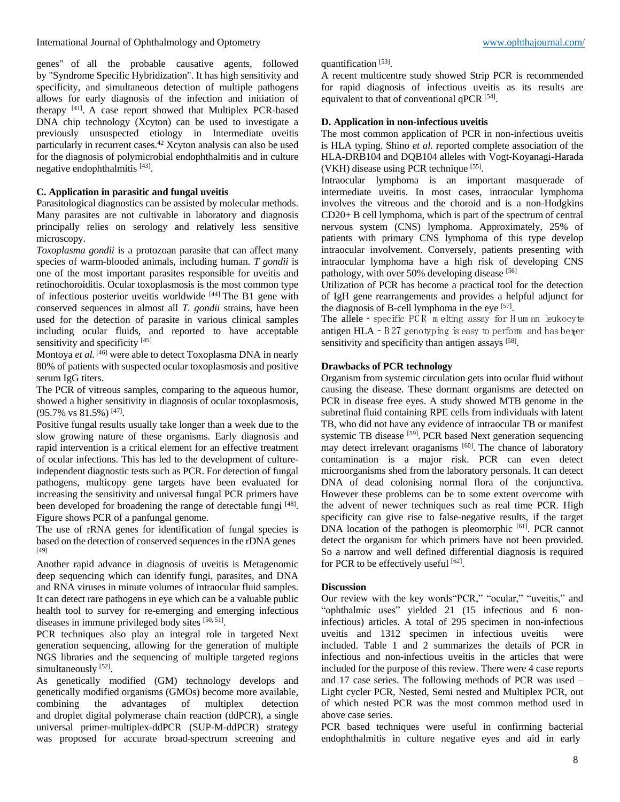genes" of all the probable causative agents, followed by "Syndrome Specific Hybridization". It has high sensitivity and specificity, and simultaneous detection of multiple pathogens allows for early diagnosis of the infection and initiation of therapy <sup>[41]</sup>. A case report showed that Multiplex PCR-based DNA chip technology (Xcyton) can be used to investigate a previously unsuspected etiology in Intermediate uveitis particularly in recurrent cases.<sup>42</sup> Xcyton analysis can also be used for the diagnosis of polymicrobial endophthalmitis and in culture negative endophthalmitis [43].

# **C. Application in parasitic and fungal uveitis**

Parasitological diagnostics can be assisted by molecular methods. Many parasites are not cultivable in laboratory and diagnosis principally relies on serology and relatively less sensitive microscopy.

*Toxoplasma gondii* is a protozoan parasite that can affect many species of warm-blooded animals, including human. *T gondii* is one of the most important parasites responsible for uveitis and retinochoroiditis. Ocular toxoplasmosis is the most common type of infectious posterior uveitis worldwide [44] The B1 gene with conserved sequences in almost all *T. gondii* strains, have been used for the detection of parasite in various clinical samples including ocular fluids, and reported to have acceptable sensitivity and specificity<sup>[45]</sup>

Montoya *et al.* [46] were able to detect Toxoplasma DNA in nearly 80% of patients with suspected ocular toxoplasmosis and positive serum IgG titers.

The PCR of vitreous samples, comparing to the aqueous humor, showed a higher sensitivity in diagnosis of ocular toxoplasmosis,  $(95.7\% \text{ vs } 81.5\%)$ <sup>[47]</sup>.

Positive fungal results usually take longer than a week due to the slow growing nature of these organisms. Early diagnosis and rapid intervention is a critical element for an effective treatment of ocular infections. This has led to the development of cultureindependent diagnostic tests such as PCR. For detection of fungal pathogens, multicopy gene targets have been evaluated for increasing the sensitivity and universal fungal PCR primers have been developed for broadening the range of detectable fungi [48]. Figure shows PCR of a panfungal genome.

The use of rRNA genes for identification of fungal species is based on the detection of conserved sequences in the rDNA genes [49]

Another rapid advance in diagnosis of uveitis is Metagenomic deep sequencing which can identify fungi, parasites, and DNA and RNA viruses in minute volumes of intraocular fluid samples. It can detect rare pathogens in eye which can be a valuable public health tool to survey for re-emerging and emerging infectious diseases in immune privileged body sites [50, 51].

PCR techniques also play an integral role in targeted Next generation sequencing, allowing for the generation of multiple NGS libraries and the sequencing of multiple targeted regions simultaneously<sup>[52]</sup>.

As genetically modified (GM) technology develops and genetically modified organisms (GMOs) become more available, combining the advantages of multiplex detection and droplet digital polymerase chain reaction (ddPCR), a single universal primer-multiplex-ddPCR (SUP-M-ddPCR) strategy was proposed for accurate broad-spectrum screening and

### quantification [53].

A recent multicentre study showed Strip PCR is recommended for rapid diagnosis of infectious uveitis as its results are equivalent to that of conventional qPCR<sup>[54]</sup>.

# **D. Application in non-infectious uveitis**

The most common application of PCR in non-infectious uveitis is HLA typing. Shino *et al.* reported complete association of the HLA-DRB104 and DQB104 alleles with Vogt-Koyanagi-Harada (VKH) disease using PCR technique [55].

Intraocular lymphoma is an important masquerade of intermediate uveitis. In most cases, intraocular lymphoma involves the vitreous and the choroid and is a non-Hodgkins CD20+ B cell lymphoma, which is part of the spectrum of central nervous system (CNS) lymphoma. Approximately, 25% of patients with primary CNS lymphoma of this type develop intraocular involvement. Conversely, patients presenting with intraocular lymphoma have a high risk of developing CNS pathology, with over 50% developing disease [56]

Utilization of PCR has become a practical tool for the detection of IgH gene rearrangements and provides a helpful adjunct for the diagnosis of B-cell lymphoma in the eye  $[57]$ .

The allele - specific  $PCR$  m elting assay for H um an leukocyte antigen HLA  $- B 27$  genotyping is easy to perform and has better sensitivity and specificity than antigen assays [58].

# **Drawbacks of PCR technology**

Organism from systemic circulation gets into ocular fluid without causing the disease. These dormant organisms are detected on PCR in disease free eyes. A study showed MTB genome in the subretinal fluid containing RPE cells from individuals with latent TB, who did not have any evidence of intraocular TB or manifest systemic TB disease [59]. PCR based Next generation sequencing may detect irrelevant oraganisms [60]. The chance of laboratory contamination is a major risk. PCR can even detect microorganisms shed from the laboratory personals. It can detect DNA of dead colonising normal flora of the conjunctiva. However these problems can be to some extent overcome with the advent of newer techniques such as real time PCR. High specificity can give rise to false-negative results, if the target DNA location of the pathogen is pleomorphic <sup>[61]</sup>. PCR cannot detect the organism for which primers have not been provided. So a narrow and well defined differential diagnosis is required for PCR to be effectively useful [62].

### **Discussion**

Our review with the key words"PCR," "ocular," "uveitis," and "ophthalmic uses" yielded 21 (15 infectious and 6 noninfectious) articles. A total of 295 specimen in non-infectious uveitis and 1312 specimen in infectious uveitis were included. Table 1 and 2 summarizes the details of PCR in infectious and non-infectious uveitis in the articles that were included for the purpose of this review. There were 4 case reports and 17 case series. The following methods of PCR was used – Light cycler PCR, Nested, Semi nested and Multiplex PCR, out of which nested PCR was the most common method used in above case series.

PCR based techniques were useful in confirming bacterial endophthalmitis in culture negative eyes and aid in early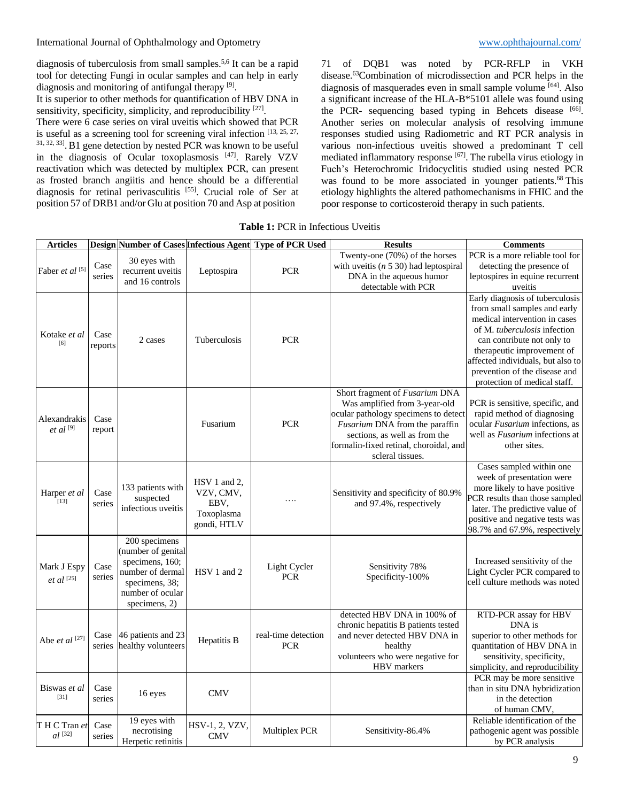International Journal of Ophthalmology and Optometry and American [www.ophthajournal.com/](http://www.ophthajournal.com/)

diagnosis of tuberculosis from small samples.5,6 It can be a rapid tool for detecting Fungi in ocular samples and can help in early diagnosis and monitoring of antifungal therapy [9].

It is superior to other methods for quantification of HBV DNA in sensitivity, specificity, simplicity, and reproducibility [27].

There were 6 case series on viral uveitis which showed that PCR is useful as a screening tool for screening viral infection [13, 25, 27, 31, 32, 33] .B1 gene detection by nested PCR was known to be useful in the diagnosis of Ocular toxoplasmosis [47]. Rarely VZV reactivation which was detected by multiplex PCR, can present as frosted branch angiitis and hence should be a differential diagnosis for retinal perivasculitis [55]. Crucial role of Ser at position 57 of DRB1 and/or Glu at position 70 and Asp at position

71 of DQB1 was noted by PCR-RFLP in VKH disease.<sup>63</sup>Combination of microdissection and PCR helps in the diagnosis of masquerades even in small sample volume [64]. Also a significant increase of the HLA-B\*5101 allele was found using the PCR- sequencing based typing in Behcets disease [66]. Another series on molecular analysis of resolving immune responses studied using Radiometric and RT PCR analysis in various non-infectious uveitis showed a predominant T cell mediated inflammatory response [67]. The rubella virus etiology in Fuch's Heterochromic Iridocyclitis studied using nested PCR was found to be more associated in younger patients.<sup>68</sup> This etiology highlights the altered pathomechanisms in FHIC and the poor response to corticosteroid therapy in such patients.

**Table 1:** PCR in Infectious Uveitis

| <b>Articles</b>                       |                 |                                                                                                                                   |                                                                | Design Number of Cases Infectious Agent Type of PCR Used | <b>Results</b>                                                                                                                                                                                                                           | <b>Comments</b>                                                                                                                                                                                                                                                                                    |
|---------------------------------------|-----------------|-----------------------------------------------------------------------------------------------------------------------------------|----------------------------------------------------------------|----------------------------------------------------------|------------------------------------------------------------------------------------------------------------------------------------------------------------------------------------------------------------------------------------------|----------------------------------------------------------------------------------------------------------------------------------------------------------------------------------------------------------------------------------------------------------------------------------------------------|
| Faber et al [5]                       | Case<br>series  | 30 eyes with<br>recurrent uveitis<br>and 16 controls                                                                              | Leptospira                                                     | <b>PCR</b>                                               | Twenty-one (70%) of the horses<br>with uveitis $(n 5 30)$ had leptospiral<br>DNA in the aqueous humor<br>detectable with PCR                                                                                                             | PCR is a more reliable tool for<br>detecting the presence of<br>leptospires in equine recurrent<br>uveitis                                                                                                                                                                                         |
| Kotake <i>et al</i><br>[6]            | Case<br>reports | 2 cases                                                                                                                           | Tuberculosis                                                   | <b>PCR</b>                                               |                                                                                                                                                                                                                                          | Early diagnosis of tuberculosis<br>from small samples and early<br>medical intervention in cases<br>of M. tuberculosis infection<br>can contribute not only to<br>therapeutic improvement of<br>affected individuals, but also to<br>prevention of the disease and<br>protection of medical staff. |
| Alexandrakis<br>$et$ al $^{[9]}$      | Case<br>report  |                                                                                                                                   | Fusarium                                                       | <b>PCR</b>                                               | Short fragment of Fusarium DNA<br>Was amplified from 3-year-old<br>ocular pathology specimens to detect<br>Fusarium DNA from the paraffin<br>sections, as well as from the<br>formalin-fixed retinal, choroidal, and<br>scleral tissues. | PCR is sensitive, specific, and<br>rapid method of diagnosing<br>ocular Fusarium infections, as<br>well as <i>Fusarium</i> infections at<br>other sites.                                                                                                                                           |
| Harper et al<br>$[13]$                | Case<br>series  | 133 patients with<br>suspected<br>infectious uveitis                                                                              | HSV 1 and 2,<br>VZV, CMV,<br>EBV,<br>Toxoplasma<br>gondi, HTLV | .                                                        | Sensitivity and specificity of 80.9%<br>and 97.4%, respectively                                                                                                                                                                          | Cases sampled within one<br>week of presentation were<br>more likely to have positive<br>PCR results than those sampled<br>later. The predictive value of<br>positive and negative tests was<br>98.7% and 67.9%, respectively                                                                      |
| Mark J Espy<br>$et\ al\ ^{[25]}$      | Case<br>series  | 200 specimens<br>(number of genital<br>specimens, 160;<br>number of dermal<br>specimens, 38:<br>number of ocular<br>specimens, 2) | HSV 1 and 2                                                    | Light Cycler<br><b>PCR</b>                               | Sensitivity 78%<br>Specificity-100%                                                                                                                                                                                                      | Increased sensitivity of the<br>Light Cycler PCR compared to<br>cell culture methods was noted                                                                                                                                                                                                     |
| Abe et al [27]                        | Case<br>series  | 46 patients and 23<br>healthy volunteers                                                                                          | Hepatitis B                                                    | real-time detection<br><b>PCR</b>                        | detected HBV DNA in 100% of<br>chronic hepatitis B patients tested<br>and never detected HBV DNA in<br>healthy<br>volunteers who were negative for<br>HBV markers                                                                        | RTD-PCR assay for HBV<br>DNA is<br>superior to other methods for<br>quantitation of HBV DNA in<br>sensitivity, specificity,<br>simplicity, and reproducibility                                                                                                                                     |
| Biswas et al<br>$[31]$                | Case<br>series  | 16 eyes                                                                                                                           | <b>CMV</b>                                                     |                                                          |                                                                                                                                                                                                                                          | PCR may be more sensitive<br>than in situ DNA hybridization<br>in the detection<br>of human CMV,                                                                                                                                                                                                   |
| T H C Tran et<br>$al$ <sup>[32]</sup> | Case<br>series  | 19 eyes with<br>necrotising<br>Herpetic retinitis                                                                                 | HSV-1, 2, VZV,<br><b>CMV</b>                                   | Multiplex PCR                                            | Sensitivity-86.4%                                                                                                                                                                                                                        | Reliable identification of the<br>pathogenic agent was possible<br>by PCR analysis                                                                                                                                                                                                                 |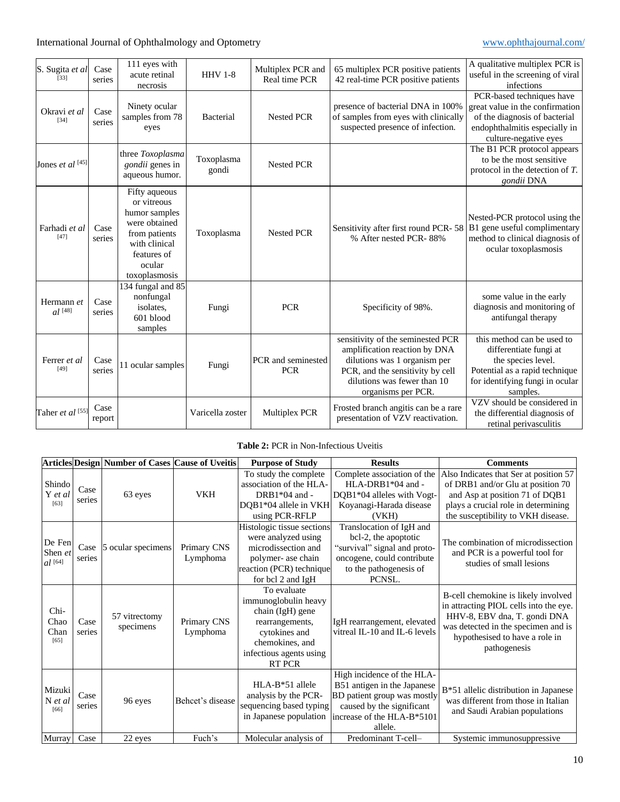| S. Sugita et al<br>[33]            | Case<br>series | 111 eyes with<br>acute retinal<br>necrosis                                                                                                 | <b>HHV 1-8</b>      | Multiplex PCR and<br>Real time PCR | 65 multiplex PCR positive patients<br>42 real-time PCR positive patients                                                                                                                    | A qualitative multiplex PCR is<br>useful in the screening of viral<br>infections                                                                            |
|------------------------------------|----------------|--------------------------------------------------------------------------------------------------------------------------------------------|---------------------|------------------------------------|---------------------------------------------------------------------------------------------------------------------------------------------------------------------------------------------|-------------------------------------------------------------------------------------------------------------------------------------------------------------|
| Okravi et al<br>$[34]$             | Case<br>series | Ninety ocular<br>samples from 78<br>eyes                                                                                                   | <b>Bacterial</b>    | <b>Nested PCR</b>                  | presence of bacterial DNA in 100%<br>of samples from eyes with clinically<br>suspected presence of infection.                                                                               | PCR-based techniques have<br>great value in the confirmation<br>of the diagnosis of bacterial<br>endophthalmitis especially in<br>culture-negative eyes     |
| Jones et al [45]                   |                | three Toxoplasma<br>gondii genes in<br>aqueous humor.                                                                                      | Toxoplasma<br>gondi | <b>Nested PCR</b>                  |                                                                                                                                                                                             | The B1 PCR protocol appears<br>to be the most sensitive<br>protocol in the detection of $T$ .<br>gondii DNA                                                 |
| Farhadi et al<br>[47]              | Case<br>series | Fifty aqueous<br>or vitreous<br>humor samples<br>were obtained<br>from patients<br>with clinical<br>features of<br>ocular<br>toxoplasmosis | Toxoplasma          | Nested PCR                         | Sensitivity after first round PCR-58<br>% After nested PCR-88%                                                                                                                              | Nested-PCR protocol using the<br>B1 gene useful complimentary<br>method to clinical diagnosis of<br>ocular toxoplasmosis                                    |
| Hermann et<br>$al$ <sup>[48]</sup> | Case<br>series | 134 fungal and 85<br>nonfungal<br>isolates.<br>601 blood<br>samples                                                                        | Fungi               | <b>PCR</b>                         | Specificity of 98%.                                                                                                                                                                         | some value in the early<br>diagnosis and monitoring of<br>antifungal therapy                                                                                |
| Ferrer et al<br>[49]               | Case<br>series | 11 ocular samples                                                                                                                          | Fungi               | PCR and seminested<br><b>PCR</b>   | sensitivity of the seminested PCR<br>amplification reaction by DNA<br>dilutions was 1 organism per<br>PCR, and the sensitivity by cell<br>dilutions was fewer than 10<br>organisms per PCR. | this method can be used to<br>differentiate fungi at<br>the species level.<br>Potential as a rapid technique<br>for identifying fungi in ocular<br>samples. |
| Taher et al [55]                   | Case<br>report |                                                                                                                                            | Varicella zoster    | Multiplex PCR                      | Frosted branch angitis can be a rare<br>presentation of VZV reactivation.                                                                                                                   | VZV should be considered in<br>the differential diagnosis of<br>retinal perivasculitis                                                                      |

# **Table 2:** PCR in Non-Infectious Uveitis

|                                |                | Articles Design Number of Cases Cause of Uveitis |                         | <b>Purpose of Study</b>                                                                                                                                    | <b>Results</b>                                                                                                                                                 | <b>Comments</b>                                                                                                                                                                                        |
|--------------------------------|----------------|--------------------------------------------------|-------------------------|------------------------------------------------------------------------------------------------------------------------------------------------------------|----------------------------------------------------------------------------------------------------------------------------------------------------------------|--------------------------------------------------------------------------------------------------------------------------------------------------------------------------------------------------------|
| Shindo<br>Y et al<br>$[63]$    | Case<br>series | 63 eyes                                          | VKH                     | To study the complete<br>association of the HLA-<br>DRB1 $*04$ and -<br>DQB1*04 allele in VKH<br>using PCR-RFLP                                            | Complete association of the<br>HLA-DRB1*04 and -<br>DQB1*04 alleles with Vogt-<br>Koyanagi-Harada disease<br>(VKH)                                             | Also Indicates that Ser at position 57<br>of DRB1 and/or Glu at position 70<br>and Asp at position 71 of DQB1<br>plays a crucial role in determining<br>the susceptibility to VKH disease.             |
| De Fen<br>Shen et<br>$al$ [64] | Case<br>series | 5 ocular specimens                               | Primary CNS<br>Lymphoma | Histologic tissue sections<br>were analyzed using<br>microdissection and<br>polymer- ase chain<br>reaction (PCR) technique<br>for bcl 2 and IgH            | Translocation of IgH and<br>bcl-2, the apoptotic<br>"survival" signal and proto-<br>oncogene, could contribute<br>to the pathogenesis of<br>PCNSL.             | The combination of microdissection<br>and PCR is a powerful tool for<br>studies of small lesions                                                                                                       |
| Chi-<br>Chao<br>Chan<br>$[65]$ | Case<br>series | 57 vitrectomy<br>specimens                       | Primary CNS<br>Lymphoma | To evaluate<br>immunoglobulin heavy<br>chain (IgH) gene<br>rearrangements,<br>cytokines and<br>chemokines, and<br>infectious agents using<br><b>RT PCR</b> | IgH rearrangement, elevated<br>vitreal IL-10 and IL-6 levels                                                                                                   | B-cell chemokine is likely involved<br>in attracting PIOL cells into the eye.<br>HHV-8, EBV dna, T. gondi DNA<br>was detected in the specimen and is<br>hypothesised to have a role in<br>pathogenesis |
| Mizuki<br>N et al<br>[66]      | Case<br>series | 96 eyes                                          | Behcet's disease        | $HLA-B*51$ allele<br>analysis by the PCR-<br>sequencing based typing<br>in Japanese population                                                             | High incidence of the HLA-<br>B51 antigen in the Japanese<br>BD patient group was mostly<br>caused by the significant<br>increase of the HLA-B*5101<br>allele. | B*51 allelic distribution in Japanese<br>was different from those in Italian<br>and Saudi Arabian populations                                                                                          |
| Murray                         | Case           | 22 eyes                                          | Fuch's                  | Molecular analysis of                                                                                                                                      | Predominant T-cell-                                                                                                                                            | Systemic immunosuppressive                                                                                                                                                                             |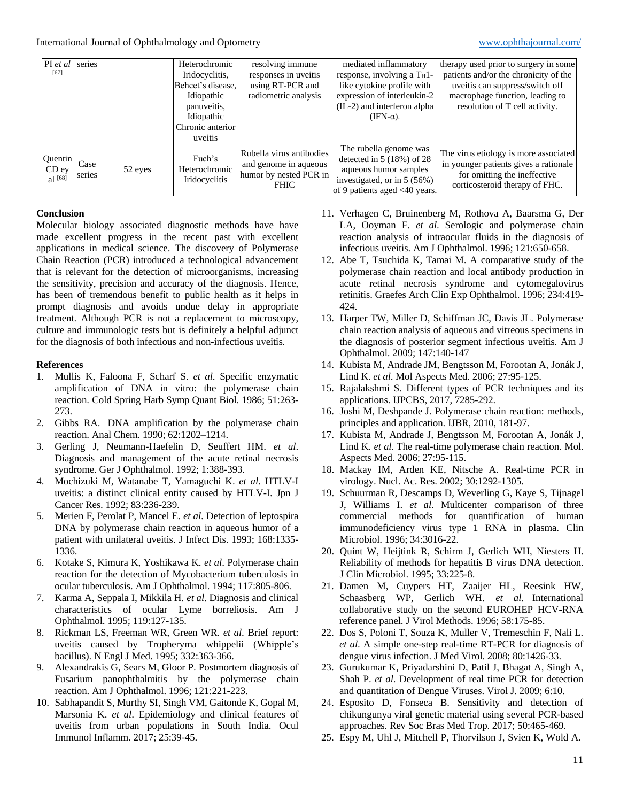| $PI$ et al                    | series         |         | Heterochromic                            | resolving immune                                                                           | mediated inflammatory                                                                                                                                          | therapy used prior to surgery in some                                                                                                            |
|-------------------------------|----------------|---------|------------------------------------------|--------------------------------------------------------------------------------------------|----------------------------------------------------------------------------------------------------------------------------------------------------------------|--------------------------------------------------------------------------------------------------------------------------------------------------|
| [67]                          |                |         | Iridocyclitis,                           | responses in uveitis                                                                       | response, involving a T <sub>H</sub> 1-                                                                                                                        | patients and/or the chronicity of the                                                                                                            |
|                               |                |         | Behcet's disease,                        | using RT-PCR and                                                                           | like cytokine profile with                                                                                                                                     | uveitis can suppress/switch off                                                                                                                  |
|                               |                |         | Idiopathic                               | radiometric analysis                                                                       | expression of interleukin-2                                                                                                                                    | macrophage function, leading to                                                                                                                  |
|                               |                |         | panuveitis,                              |                                                                                            | (IL-2) and interferon alpha                                                                                                                                    | resolution of T cell activity.                                                                                                                   |
|                               |                |         | Idiopathic                               |                                                                                            | $(IFN-\alpha)$ .                                                                                                                                               |                                                                                                                                                  |
|                               |                |         | Chronic anterior                         |                                                                                            |                                                                                                                                                                |                                                                                                                                                  |
|                               |                |         | uveitis                                  |                                                                                            |                                                                                                                                                                |                                                                                                                                                  |
| Quentin<br>CD ey<br>al $[68]$ | Case<br>series | 52 eyes | Fuch's<br>Heterochromic<br>Iridocyclitis | Rubella virus antibodies<br>and genome in aqueous<br>humor by nested PCR in<br><b>FHIC</b> | The rubella genome was<br>detected in $5(18%)$ of 28<br>aqueous humor samples<br>investigated, or in 5 (56%)<br>of 9 patients aged $\langle 40 \rangle$ years. | The virus etiology is more associated<br>in younger patients gives a rationale<br>for omitting the ineffective<br>corticosteroid therapy of FHC. |

### **Conclusion**

Molecular biology associated diagnostic methods have have made excellent progress in the recent past with excellent applications in medical science. The discovery of Polymerase Chain Reaction (PCR) introduced a technological advancement that is relevant for the detection of microorganisms, increasing the sensitivity, precision and accuracy of the diagnosis. Hence, has been of tremendous benefit to public health as it helps in prompt diagnosis and avoids undue delay in appropriate treatment. Although PCR is not a replacement to microscopy, culture and immunologic tests but is definitely a helpful adjunct for the diagnosis of both infectious and non-infectious uveitis.

#### **References**

- 1. Mullis K, Faloona F, Scharf S. *et al*. Specific enzymatic amplification of DNA in vitro: the polymerase chain reaction. Cold Spring Harb Symp Quant Biol. 1986; 51:263- 273.
- 2. Gibbs RA. DNA amplification by the polymerase chain reaction. Anal Chem. 1990; 62:1202–1214.
- 3. Gerling J, Neumann-Haefelin D, Seuffert HM. *et al*. Diagnosis and management of the acute retinal necrosis syndrome. Ger J Ophthalmol. 1992; 1:388-393.
- 4. Mochizuki M, Watanabe T, Yamaguchi K. *et al*. HTLV-I uveitis: a distinct clinical entity caused by HTLV-I. Jpn J Cancer Res. 1992; 83:236-239.
- 5. Merien F, Perolat P, Mancel E. *et al*. Detection of leptospira DNA by polymerase chain reaction in aqueous humor of a patient with unilateral uveitis. J Infect Dis. 1993; 168:1335- 1336.
- 6. Kotake S, Kimura K, Yoshikawa K. *et al*. Polymerase chain reaction for the detection of Mycobacterium tuberculosis in ocular tuberculosis. Am J Ophthalmol. 1994; 117:805-806.
- 7. Karma A, Seppala I, Mikkila H. *et al*. Diagnosis and clinical characteristics of ocular Lyme borreliosis. Am J Ophthalmol. 1995; 119:127-135.
- 8. Rickman LS, Freeman WR, Green WR. *et al*. Brief report: uveitis caused by Tropheryma whippelii (Whipple's bacillus). N Engl J Med. 1995; 332:363-366.
- 9. Alexandrakis G, Sears M, Gloor P. Postmortem diagnosis of Fusarium panophthalmitis by the polymerase chain reaction. Am J Ophthalmol. 1996; 121:221-223.
- 10. Sabhapandit S, Murthy SI, Singh VM, Gaitonde K, Gopal M, Marsonia K. *et al*. Epidemiology and clinical features of uveitis from urban populations in South India. Ocul Immunol Inflamm. 2017; 25:39-45.
- 11. Verhagen C, Bruinenberg M, Rothova A, Baarsma G, Der LA, Ooyman F. *et al*. Serologic and polymerase chain reaction analysis of intraocular fluids in the diagnosis of infectious uveitis. Am J Ophthalmol. 1996; 121:650-658.
- 12. Abe T, Tsuchida K, Tamai M. A comparative study of the polymerase chain reaction and local antibody production in acute retinal necrosis syndrome and cytomegalovirus retinitis. Graefes Arch Clin Exp Ophthalmol. 1996; 234:419- 424.
- 13. Harper TW, Miller D, Schiffman JC, Davis JL. Polymerase chain reaction analysis of aqueous and vitreous specimens in the diagnosis of posterior segment infectious uveitis. Am J Ophthalmol. 2009; 147:140-147
- 14. Kubista M, Andrade JM, Bengtsson M, Forootan A, Jonák J, Lind K. *et al*. Mol Aspects Med. 2006; 27:95-125.
- 15. Rajalakshmi S. Different types of PCR techniques and its applications. IJPCBS, 2017, 7285-292.
- 16. Joshi M, Deshpande J. Polymerase chain reaction: methods, principles and application. IJBR, 2010, 181-97.
- 17. Kubista M, Andrade J, Bengtsson M, Forootan A, Jonák J, Lind K. *et al*. The real-time polymerase chain reaction. Mol. Aspects Med. 2006; 27:95-115.
- 18. Mackay IM, Arden KE, Nitsche A. Real-time PCR in virology. Nucl. Ac. Res. 2002; 30:1292-1305.
- 19. Schuurman R, Descamps D, Weverling G, Kaye S, Tijnagel J, Williams I. *et al*. Multicenter comparison of three commercial methods for quantification of human immunodeficiency virus type 1 RNA in plasma. Clin Microbiol. 1996; 34:3016-22.
- 20. Quint W, Heijtink R, Schirm J, Gerlich WH, Niesters H. Reliability of methods for hepatitis B virus DNA detection. J Clin Microbiol. 1995; 33:225-8.
- 21. Damen M, Cuypers HT, Zaaijer HL, Reesink HW, Schaasberg WP, Gerlich WH. *et al*. International collaborative study on the second EUROHEP HCV-RNA reference panel. J Virol Methods. 1996; 58:175-85.
- 22. Dos S, Poloni T, Souza K, Muller V, Tremeschin F, Nali L. *et al*. A simple one-step real-time RT-PCR for diagnosis of dengue virus infection. J Med Virol. 2008; 80:1426-33.
- 23. Gurukumar K, Priyadarshini D, Patil J, Bhagat A, Singh A, Shah P. *et al*. Development of real time PCR for detection and quantitation of Dengue Viruses. Virol J. 2009; 6:10.
- 24. Esposito D, Fonseca B. Sensitivity and detection of chikungunya viral genetic material using several PCR-based approaches. Rev Soc Bras Med Trop. 2017; 50:465-469.
- 25. Espy M, Uhl J, Mitchell P, Thorvilson J, Svien K, Wold A.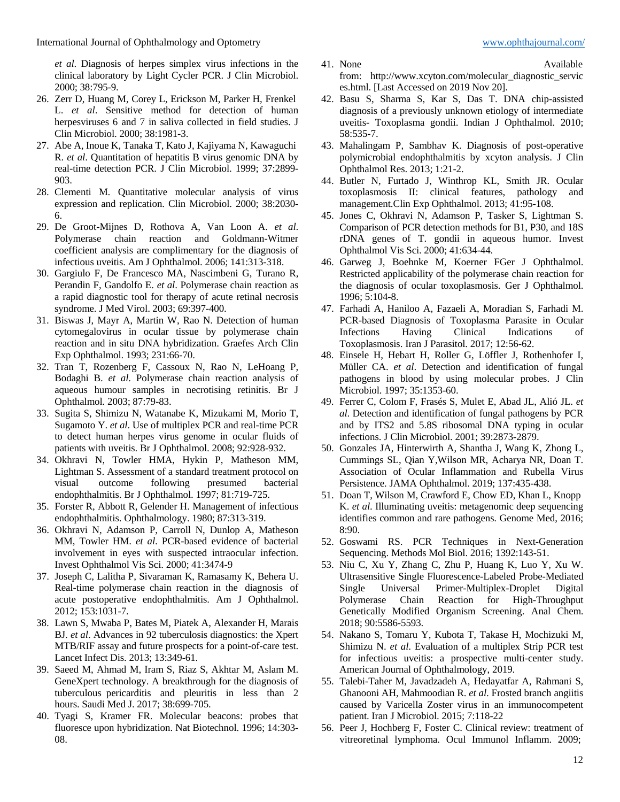*et al*. Diagnosis of herpes simplex virus infections in the clinical laboratory by Light Cycler PCR. J Clin Microbiol. 2000; 38:795-9.

- 26. Zerr D, Huang M, Corey L, Erickson M, Parker H, Frenkel L. *et al*. Sensitive method for detection of human herpesviruses 6 and 7 in saliva collected in field studies. J Clin Microbiol. 2000; 38:1981-3.
- 27. Abe A, Inoue K, Tanaka T, Kato J, Kajiyama N, Kawaguchi R. *et al*. Quantitation of hepatitis B virus genomic DNA by real-time detection PCR. J Clin Microbiol. 1999; 37:2899- 903.
- 28. Clementi M. Quantitative molecular analysis of virus expression and replication. Clin Microbiol. 2000; 38:2030- 6.
- 29. De Groot-Mijnes D, Rothova A, Van Loon A. *et al*. Polymerase chain reaction and Goldmann-Witmer coefficient analysis are complimentary for the diagnosis of infectious uveitis. Am J Ophthalmol. 2006; 141:313-318.
- 30. Gargiulo F, De Francesco MA, Nascimbeni G, Turano R, Perandin F, Gandolfo E. *et al*. Polymerase chain reaction as a rapid diagnostic tool for therapy of acute retinal necrosis syndrome. J Med Virol. 2003; 69:397-400.
- 31. Biswas J, Mayr A, Martin W, Rao N. Detection of human cytomegalovirus in ocular tissue by polymerase chain reaction and in situ DNA hybridization. Graefes Arch Clin Exp Ophthalmol. 1993; 231:66-70.
- 32. Tran T, Rozenberg F, Cassoux N, Rao N, LeHoang P, Bodaghi B. *et al*. Polymerase chain reaction analysis of aqueous humour samples in necrotising retinitis. Br J Ophthalmol. 2003; 87:79-83.
- 33. Sugita S, Shimizu N, Watanabe K, Mizukami M, Morio T, Sugamoto Y. *et al*. Use of multiplex PCR and real-time PCR to detect human herpes virus genome in ocular fluids of patients with uveitis. Br J Ophthalmol. 2008; 92:928-932.
- 34. Okhravi N, Towler HMA, Hykin P, Matheson MM, Lightman S. Assessment of a standard treatment protocol on visual outcome following presumed bacterial endophthalmitis. Br J Ophthalmol. 1997; 81:719-725.
- 35. Forster R, Abbott R, Gelender H. Management of infectious endophthalmitis. Ophthalmology. 1980; 87:313-319.
- 36. Okhravi N, Adamson P, Carroll N, Dunlop A, Matheson MM, Towler HM. *et al*. PCR-based evidence of bacterial involvement in eyes with suspected intraocular infection. Invest Ophthalmol Vis Sci. 2000; 41:3474-9
- 37. Joseph C, Lalitha P, Sivaraman K, Ramasamy K, Behera U. Real-time polymerase chain reaction in the diagnosis of acute postoperative endophthalmitis. Am J Ophthalmol. 2012; 153:1031-7.
- 38. Lawn S, Mwaba P, Bates M, Piatek A, Alexander H, Marais BJ. *et al*. Advances in 92 tuberculosis diagnostics: the Xpert MTB/RIF assay and future prospects for a point-of-care test. Lancet Infect Dis. 2013; 13:349-61.
- 39. Saeed M, Ahmad M, Iram S, Riaz S, Akhtar M, Aslam M. GeneXpert technology. A breakthrough for the diagnosis of tuberculous pericarditis and pleuritis in less than 2 hours. Saudi Med J. 2017; 38:699-705.
- 40. Tyagi S, Kramer FR. Molecular beacons: probes that fluoresce upon hybridization. Nat Biotechnol. 1996; 14:303- 08.
- 
- 41. None Available from: [http://www.xcyton.com/molecular\\_diagnostic\\_servic](http://www.xcyton.com/molecular_diagnostic_servic) es.html. [Last Accessed on 2019 Nov 20].
- 42. Basu S, Sharma S, Kar S, Das T. DNA chip-assisted diagnosis of a previously unknown etiology of intermediate uveitis- Toxoplasma gondii. Indian J Ophthalmol. 2010; 58:535-7.
- 43. Mahalingam P, Sambhav K. Diagnosis of post-operative polymicrobial endophthalmitis by xcyton analysis. J Clin Ophthalmol Res. 2013; 1:21-2.
- 44. Butler N, Furtado J, Winthrop KL, Smith JR. Ocular toxoplasmosis II: clinical features, pathology management.Clin Exp Ophthalmol. 2013; 41:95-108.
- 45. Jones C, Okhravi N, Adamson P, Tasker S, Lightman S. Comparison of PCR detection methods for B1, P30, and 18S rDNA genes of T. gondii in aqueous humor. Invest Ophthalmol Vis Sci. 2000; 41:634-44.
- 46. Garweg J, Boehnke M, Koerner FGer J Ophthalmol. Restricted applicability of the polymerase chain reaction for the diagnosis of ocular toxoplasmosis. Ger J Ophthalmol. 1996; 5:104-8.
- 47. Farhadi A, Haniloo A, Fazaeli A, Moradian S, Farhadi M. PCR-based Diagnosis of Toxoplasma Parasite in Ocular Infections Having Clinical Indications of Toxoplasmosis. Iran J Parasitol. 2017; 12:56-62.
- 48. Einsele H, Hebart H, Roller G, Löffler J, Rothenhofer I, Müller CA. *et al*. Detection and identification of fungal pathogens in blood by using molecular probes. J Clin Microbiol. 1997; 35:1353-60.
- 49. Ferrer C, Colom F, Frasés S, Mulet E, Abad JL, Alió JL. *et al*. Detection and identification of fungal pathogens by PCR and by ITS2 and 5.8S ribosomal DNA typing in ocular infections. J Clin Microbiol. 2001; 39:2873-2879.
- 50. Gonzales JA, Hinterwirth A, Shantha J, Wang K, Zhong L, Cummings SL, Qian Y,Wilson MR, Acharya NR, Doan T. Association of Ocular Inflammation and Rubella Virus Persistence. JAMA Ophthalmol. 2019; 137:435-438.
- 51. Doan T, Wilson M, Crawford E, Chow ED, Khan L, Knopp K. *et al*. Illuminating uveitis: metagenomic deep sequencing identifies common and rare pathogens. Genome Med, 2016; 8:90.
- 52. Goswami RS. PCR Techniques in Next-Generation Sequencing. Methods Mol Biol. 2016; 1392:143-51.
- 53. Niu C, Xu Y, Zhang C, Zhu P, Huang K, Luo Y, Xu W. Ultrasensitive Single Fluorescence-Labeled Probe-Mediated Single Universal Primer-Multiplex-Droplet Digital Polymerase Chain Reaction for High-Throughput Genetically Modified Organism Screening. Anal Chem. 2018; 90:5586-5593.
- 54. Nakano S, Tomaru Y, Kubota T, Takase H, Mochizuki M, Shimizu N. *et al*. Evaluation of a multiplex Strip PCR test for infectious uveitis: a prospective multi-center study. American Journal of Ophthalmology, 2019.
- 55. Talebi-Taher M, Javadzadeh A, Hedayatfar A, Rahmani S, Ghanooni AH, Mahmoodian R. *et al*. Frosted branch angiitis caused by Varicella Zoster virus in an immunocompetent patient. Iran J Microbiol. 2015; 7:118-22
- 56. Peer J, Hochberg F, Foster C. Clinical review: treatment of vitreoretinal lymphoma. Ocul Immunol Inflamm. 2009;